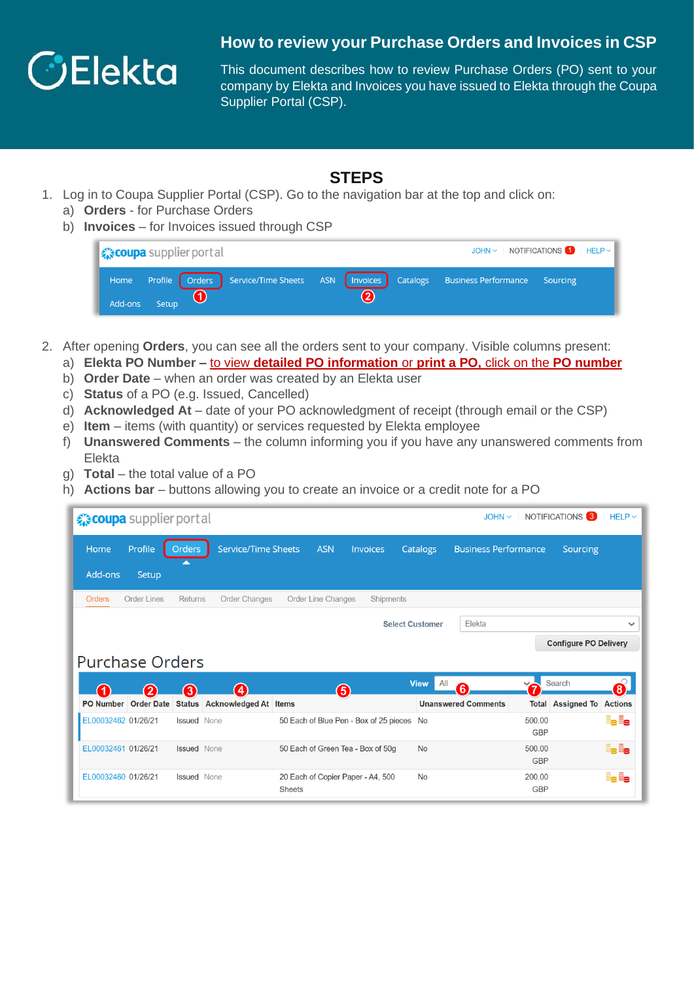

## **How to review your Purchase Orders and Invoices in CSP**

This document describes how to review Purchase Orders (PO) sent to your company by Elekta and Invoices you have issued to Elekta through the Coupa Supplier Portal (CSP).

## **STEPS**

- 1. Log in to Coupa Supplier Portal (CSP). Go to the navigation bar at the top and click on:
	- a) **Orders** for Purchase Orders
	- b) **Invoices** for Invoices issued through CSP

| JOHN $\vee$ NOTIFICATIONS $\bigcap$ HELP $\vee$<br><i><u>√scoupa</u></i> supplier portal |                 |  |   |                                                                                                     |  |  |  |  |  |
|------------------------------------------------------------------------------------------|-----------------|--|---|-----------------------------------------------------------------------------------------------------|--|--|--|--|--|
|                                                                                          |                 |  |   | Home Profile   Orders   Service/Time Sheets ASN   Invoices   Catalogs Business Performance Sourcing |  |  |  |  |  |
|                                                                                          | Add-ons Setup 1 |  | 2 |                                                                                                     |  |  |  |  |  |

- 2. After opening **Orders**, you can see all the orders sent to your company. Visible columns present: a) **Elekta PO Number –** to view **detailed PO information** or **print a PO,** click on the **PO number**
	- b) **Order Date**  when an order was created by an Elekta user
	- c) **Status** of a PO (e.g. Issued, Cancelled)
	- d) **Acknowledged At** date of your PO acknowledgment of receipt (through email or the CSP)
	- e) **Item** items (with quantity) or services requested by Elekta employee
	- f) **Unanswered Comments** the column informing you if you have any unanswered comments from Elekta
	- g) **Total** the total value of a PO
	- h) **Actions bar** buttons allowing you to create an invoice or a credit note for a PO

| NOTIFICATIONS <sup>3</sup><br>$HELP \sim$<br>☆ coupa supplier portal<br>$JOHN \sim$ |                    |                    |                                   |  |                           |                                           |                        |     |                             |                      |                              |                |
|-------------------------------------------------------------------------------------|--------------------|--------------------|-----------------------------------|--|---------------------------|-------------------------------------------|------------------------|-----|-----------------------------|----------------------|------------------------------|----------------|
| Home                                                                                | Profile            | <b>Orders</b>      | <b>Service/Time Sheets</b>        |  | <b>ASN</b>                | Invoices                                  | <b>Catalogs</b>        |     | <b>Business Performance</b> |                      | Sourcing                     |                |
| Add-ons                                                                             | Setup              | <b>A</b>           |                                   |  |                           |                                           |                        |     |                             |                      |                              |                |
| <b>Orders</b>                                                                       | <b>Order Lines</b> | <b>Returns</b>     | <b>Order Changes</b>              |  | <b>Order Line Changes</b> | Shipments                                 |                        |     |                             |                      |                              |                |
|                                                                                     |                    |                    |                                   |  |                           |                                           | <b>Select Customer</b> |     | Elekta                      |                      |                              | $\checkmark$   |
|                                                                                     |                    |                    |                                   |  |                           |                                           |                        |     |                             |                      |                              |                |
|                                                                                     |                    |                    |                                   |  |                           |                                           |                        |     |                             |                      | <b>Configure PO Delivery</b> |                |
| <b>Purchase Orders</b>                                                              |                    |                    |                                   |  |                           |                                           |                        |     |                             |                      |                              |                |
| 0                                                                                   |                    |                    |                                   |  |                           |                                           | <b>View</b>            | All | 6                           |                      | Search                       | 8)             |
| PO Number Order Date                                                                | $\mathbf{2}$       | 3                  | 4<br>Status Acknowledged At Items |  | 6                         |                                           |                        |     | <b>Unanswered Comments</b>  |                      | <b>Total Assigned To</b>     | <b>Actions</b> |
| EL00032462 01/26/21                                                                 |                    | <b>Issued</b> None |                                   |  |                           | 50 Each of Blue Pen - Box of 25 pieces No |                        |     |                             | 500.00<br><b>GBP</b> |                              | Le Le          |
| EL00032461_01/26/21                                                                 |                    | <b>Issued</b> None |                                   |  |                           | 50 Each of Green Tea - Box of 50g         | <b>No</b>              |     |                             | 500.00<br><b>GBP</b> |                              | e, e,          |